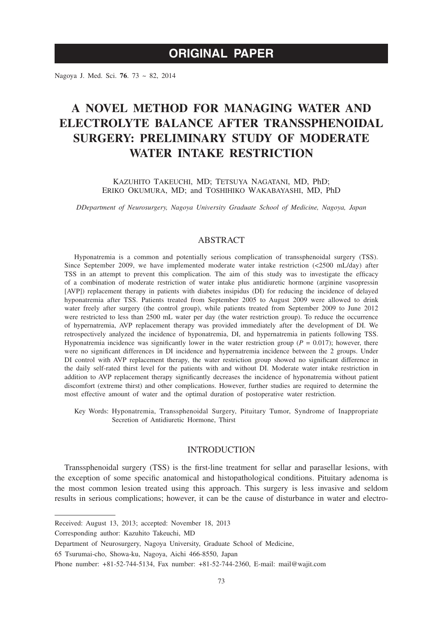# **ORIGINAL PAPER**

Nagoya J. Med. Sci. **76**. 73 ~ 82, 2014

# **A NOVEL METHOD FOR MANAGING WATER AND ELECTROLYTE BALANCE AFTER TRANSSPHENOIDAL SURGERY: PRELIMINARY STUDY OF MODERATE WATER INTAKE RESTRICTION**

KAZUHITO TAKEUCHI, MD; TETSUYA NAGATANI, MD, PhD; ERIKO OKUMURA, MD; and TOSHIHIKO WAKABAYASHI, MD, PhD

*DDepartment of Neurosurgery, Nagoya University Graduate School of Medicine, Nagoya, Japan*

# ABSTRACT

Hyponatremia is a common and potentially serious complication of transsphenoidal surgery (TSS). Since September 2009, we have implemented moderate water intake restriction  $\langle$   $\langle$ 2500 mL/day) after TSS in an attempt to prevent this complication. The aim of this study was to investigate the efficacy of a combination of moderate restriction of water intake plus antidiuretic hormone (arginine vasopressin [AVP]) replacement therapy in patients with diabetes insipidus (DI) for reducing the incidence of delayed hyponatremia after TSS. Patients treated from September 2005 to August 2009 were allowed to drink water freely after surgery (the control group), while patients treated from September 2009 to June 2012 were restricted to less than 2500 mL water per day (the water restriction group). To reduce the occurrence of hypernatremia, AVP replacement therapy was provided immediately after the development of DI. We retrospectively analyzed the incidence of hyponatremia, DI, and hypernatremia in patients following TSS. Hyponatremia incidence was significantly lower in the water restriction group ( $P = 0.017$ ); however, there were no significant differences in DI incidence and hypernatremia incidence between the 2 groups. Under DI control with AVP replacement therapy, the water restriction group showed no significant difference in the daily self-rated thirst level for the patients with and without DI. Moderate water intake restriction in addition to AVP replacement therapy significantly decreases the incidence of hyponatremia without patient discomfort (extreme thirst) and other complications. However, further studies are required to determine the most effective amount of water and the optimal duration of postoperative water restriction.

Key Words: Hyponatremia, Transsphenoidal Surgery, Pituitary Tumor, Syndrome of Inappropriate Secretion of Antidiuretic Hormone, Thirst

#### **INTRODUCTION**

Transsphenoidal surgery (TSS) is the first-line treatment for sellar and parasellar lesions, with the exception of some specific anatomical and histopathological conditions. Pituitary adenoma is the most common lesion treated using this approach. This surgery is less invasive and seldom results in serious complications; however, it can be the cause of disturbance in water and electro-

Received: August 13, 2013; accepted: November 18, 2013

Corresponding author: Kazuhito Takeuchi, MD

Department of Neurosurgery, Nagoya University, Graduate School of Medicine,

<sup>65</sup> Tsurumai-cho, Showa-ku, Nagoya, Aichi 466-8550, Japan

Phone number: +81-52-744-5134, Fax number: +81-52-744-2360, E-mail: mail@wajit.com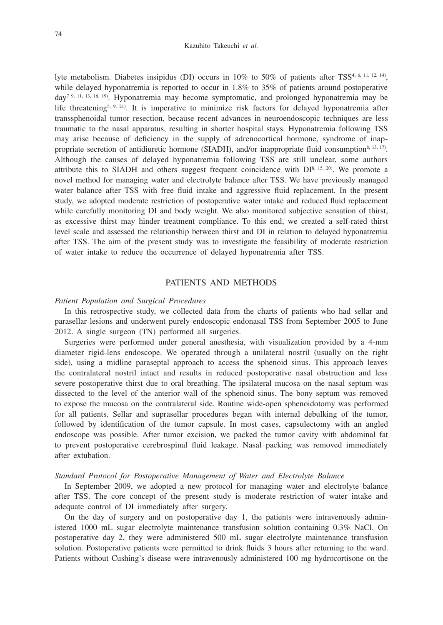#### Kazuhito Takeuchi *et al.*

lyte metabolism. Diabetes insipidus (DI) occurs in  $10\%$  to  $50\%$  of patients after TSS<sup>4, 6, 11, 12, 14</sup>), while delayed hyponatremia is reported to occur in 1.8% to 35% of patients around postoperative  $day^{7.9, 11, 13, 16, 19}$ . Hyponatremia may become symptomatic, and prolonged hyponatremia may be life threatening<sup>5, 9, 21</sup>). It is imperative to minimize risk factors for delayed hyponatremia after transsphenoidal tumor resection, because recent advances in neuroendoscopic techniques are less traumatic to the nasal apparatus, resulting in shorter hospital stays. Hyponatremia following TSS may arise because of deficiency in the supply of adrenocortical hormone, syndrome of inappropriate secretion of antidiuretic hormone (SIADH), and/or inappropriate fluid consumption<sup>8, 13, 17)</sup>. Although the causes of delayed hyponatremia following TSS are still unclear, some authors attribute this to SIADH and others suggest frequent coincidence with  $DI^{8, 15, 20}$ . We promote a novel method for managing water and electrolyte balance after TSS. We have previously managed water balance after TSS with free fluid intake and aggressive fluid replacement. In the present study, we adopted moderate restriction of postoperative water intake and reduced fluid replacement while carefully monitoring DI and body weight. We also monitored subjective sensation of thirst, as excessive thirst may hinder treatment compliance. To this end, we created a self-rated thirst level scale and assessed the relationship between thirst and DI in relation to delayed hyponatremia after TSS. The aim of the present study was to investigate the feasibility of moderate restriction of water intake to reduce the occurrence of delayed hyponatremia after TSS.

## PATIENTS AND METHODS

# *Patient Population and Surgical Procedures*

In this retrospective study, we collected data from the charts of patients who had sellar and parasellar lesions and underwent purely endoscopic endonasal TSS from September 2005 to June 2012. A single surgeon (TN) performed all surgeries.

Surgeries were performed under general anesthesia, with visualization provided by a 4-mm diameter rigid-lens endoscope. We operated through a unilateral nostril (usually on the right side), using a midline paraseptal approach to access the sphenoid sinus. This approach leaves the contralateral nostril intact and results in reduced postoperative nasal obstruction and less severe postoperative thirst due to oral breathing. The ipsilateral mucosa on the nasal septum was dissected to the level of the anterior wall of the sphenoid sinus. The bony septum was removed to expose the mucosa on the contralateral side. Routine wide-open sphenoidotomy was performed for all patients. Sellar and suprasellar procedures began with internal debulking of the tumor, followed by identification of the tumor capsule. In most cases, capsulectomy with an angled endoscope was possible. After tumor excision, we packed the tumor cavity with abdominal fat to prevent postoperative cerebrospinal fluid leakage. Nasal packing was removed immediately after extubation.

## *Standard Protocol for Postoperative Management of Water and Electrolyte Balance*

In September 2009, we adopted a new protocol for managing water and electrolyte balance after TSS. The core concept of the present study is moderate restriction of water intake and adequate control of DI immediately after surgery.

On the day of surgery and on postoperative day 1, the patients were intravenously administered 1000 mL sugar electrolyte maintenance transfusion solution containing 0.3% NaCl. On postoperative day 2, they were administered 500 mL sugar electrolyte maintenance transfusion solution. Postoperative patients were permitted to drink fluids 3 hours after returning to the ward. Patients without Cushing's disease were intravenously administered 100 mg hydrocortisone on the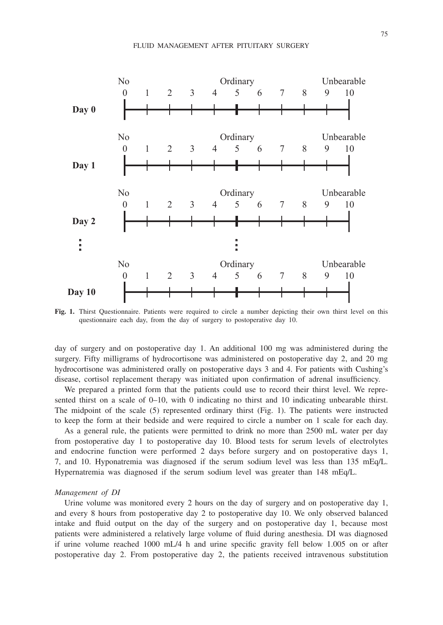

**Fig. 1.** Thirst Questionnaire. Patients were required to circle a number depicting their own thirst level on this questionnaire each day, from the day of surgery to postoperative day 10.

day of surgery and on postoperative day 1. An additional 100 mg was administered during the surgery. Fifty milligrams of hydrocortisone was administered on postoperative day 2, and 20 mg hydrocortisone was administered orally on postoperative days 3 and 4. For patients with Cushing's disease, cortisol replacement therapy was initiated upon confirmation of adrenal insufficiency.

We prepared a printed form that the patients could use to record their thirst level. We represented thirst on a scale of 0–10, with 0 indicating no thirst and 10 indicating unbearable thirst. The midpoint of the scale (5) represented ordinary thirst (Fig. 1). The patients were instructed to keep the form at their bedside and were required to circle a number on 1 scale for each day.

As a general rule, the patients were permitted to drink no more than 2500 mL water per day from postoperative day 1 to postoperative day 10. Blood tests for serum levels of electrolytes and endocrine function were performed 2 days before surgery and on postoperative days 1, 7, and 10. Hyponatremia was diagnosed if the serum sodium level was less than 135 mEq/L. Hypernatremia was diagnosed if the serum sodium level was greater than 148 mEq/L.

## *Management of DI*

Urine volume was monitored every 2 hours on the day of surgery and on postoperative day 1, and every 8 hours from postoperative day 2 to postoperative day 10. We only observed balanced intake and fluid output on the day of the surgery and on postoperative day 1, because most patients were administered a relatively large volume of fluid during anesthesia. DI was diagnosed if urine volume reached 1000 mL/4 h and urine specific gravity fell below 1.005 on or after postoperative day 2. From postoperative day 2, the patients received intravenous substitution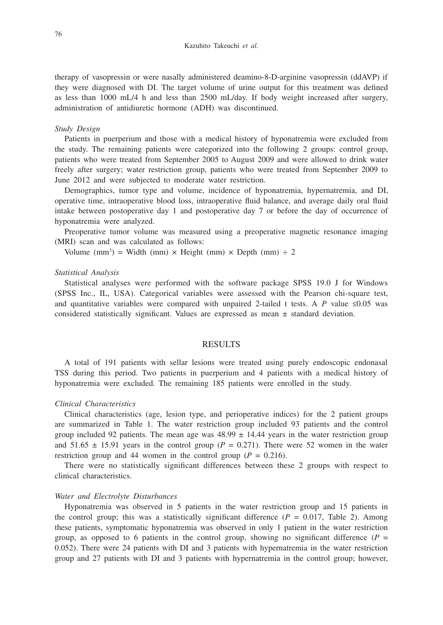therapy of vasopressin or were nasally administered deamino-8-D-arginine vasopressin (ddAVP) if they were diagnosed with DI. The target volume of urine output for this treatment was defined as less than 1000 mL/4 h and less than 2500 mL/day. If body weight increased after surgery, administration of antidiuretic hormone (ADH) was discontinued.

# *Study Design*

Patients in puerperium and those with a medical history of hyponatremia were excluded from the study. The remaining patients were categorized into the following 2 groups: control group, patients who were treated from September 2005 to August 2009 and were allowed to drink water freely after surgery; water restriction group, patients who were treated from September 2009 to June 2012 and were subjected to moderate water restriction.

Demographics, tumor type and volume, incidence of hyponatremia, hypernatremia, and DI, operative time, intraoperative blood loss, intraoperative fluid balance, and average daily oral fluid intake between postoperative day 1 and postoperative day 7 or before the day of occurrence of hyponatremia were analyzed.

Preoperative tumor volume was measured using a preoperative magnetic resonance imaging (MRI) scan and was calculated as follows:

Volume  $(mm^3)$  = Width  $(mm) \times Height (mm) \times Depth (mm) \div 2$ 

#### *Statistical Analysis*

Statistical analyses were performed with the software package SPSS 19.0 J for Windows (SPSS Inc., IL, USA). Categorical variables were assessed with the Pearson chi-square test, and quantitative variables were compared with unpaired 2-tailed t tests. A *P* value  $\leq 0.05$  was considered statistically significant. Values are expressed as mean  $\pm$  standard deviation.

# **RESULTS**

A total of 191 patients with sellar lesions were treated using purely endoscopic endonasal TSS during this period. Two patients in puerperium and 4 patients with a medical history of hyponatremia were excluded. The remaining 185 patients were enrolled in the study.

## *Clinical Characteristics*

Clinical characteristics (age, lesion type, and perioperative indices) for the 2 patient groups are summarized in Table 1. The water restriction group included 93 patients and the control group included 92 patients. The mean age was  $48.99 \pm 14.44$  years in the water restriction group and  $51.65 \pm 15.91$  years in the control group ( $P = 0.271$ ). There were 52 women in the water restriction group and 44 women in the control group ( $P = 0.216$ ).

There were no statistically significant differences between these 2 groups with respect to clinical characteristics.

## *Water and Electrolyte Disturbances*

Hyponatremia was observed in 5 patients in the water restriction group and 15 patients in the control group; this was a statistically significant difference  $(P = 0.017,$  Table 2). Among these patients, symptomatic hyponatremia was observed in only 1 patient in the water restriction group, as opposed to 6 patients in the control group, showing no significant difference  $(P =$ 0.052). There were 24 patients with DI and 3 patients with hypernatremia in the water restriction group and 27 patients with DI and 3 patients with hypernatremia in the control group; however,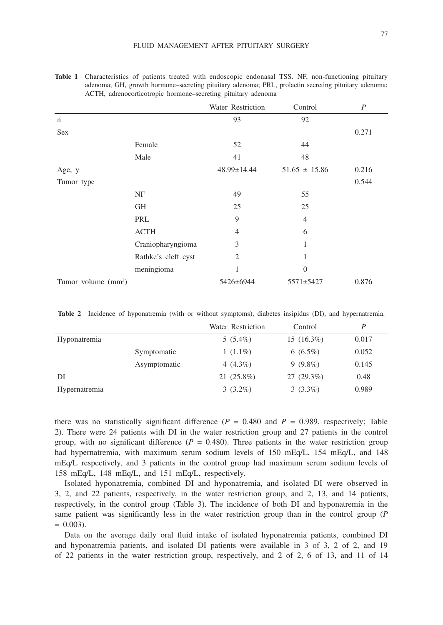|                              |                     | Water Restriction | Control           | $\boldsymbol{P}$ |
|------------------------------|---------------------|-------------------|-------------------|------------------|
| $\mathbf n$                  |                     | 93                | 92                |                  |
| <b>Sex</b>                   |                     |                   |                   | 0.271            |
|                              | Female              | 52                | 44                |                  |
|                              | Male                | 41                | 48                |                  |
| Age, y                       |                     | 48.99±14.44       | $51.65 \pm 15.86$ | 0.216            |
| Tumor type                   |                     |                   |                   | 0.544            |
|                              | NF                  | 49                | 55                |                  |
|                              | GH                  | 25                | 25                |                  |
|                              | PRL                 | 9                 | $\overline{4}$    |                  |
|                              | <b>ACTH</b>         | $\overline{4}$    | 6                 |                  |
|                              | Craniopharyngioma   | 3                 | 1                 |                  |
|                              | Rathke's cleft cyst | 2                 | 1                 |                  |
|                              | meningioma          | 1                 | $\theta$          |                  |
| Tumor volume $\text{(mm)}^3$ |                     | 5426±6944         | 5571±5427         | 0.876            |

| Table 1 Characteristics of patients treated with endoscopic endonasal TSS. NF, non-functioning pituitary |
|----------------------------------------------------------------------------------------------------------|
| adenoma; GH, growth hormone–secreting pituitary adenoma; PRL, prolactin secreting pituitary adenoma;     |
| ACTH, adrenocorticotropic hormone-secreting pituitary adenoma                                            |

**Table 2** Incidence of hyponatremia (with or without symptoms), diabetes insipidus (DI), and hypernatremia.

|               |              | Water Restriction | Control      | P     |
|---------------|--------------|-------------------|--------------|-------|
| Hyponatremia  |              | $5(5.4\%)$        | $15(16.3\%)$ | 0.017 |
|               | Symptomatic  | $1(1.1\%)$        | $6(6.5\%)$   | 0.052 |
|               | Asymptomatic | 4 $(4.3\%)$       | $9(9.8\%)$   | 0.145 |
| DI            |              | $21(25.8\%)$      | $27(29.3\%)$ | 0.48  |
| Hypernatremia |              | $3(3.2\%)$        | $3(3.3\%)$   | 0.989 |

there was no statistically significant difference  $(P = 0.480$  and  $P = 0.989$ , respectively; Table 2). There were 24 patients with DI in the water restriction group and 27 patients in the control group, with no significant difference  $(P = 0.480)$ . Three patients in the water restriction group had hypernatremia, with maximum serum sodium levels of 150 mEq/L, 154 mEq/L, and 148 mEq/L respectively, and 3 patients in the control group had maximum serum sodium levels of 158 mEq/L, 148 mEq/L, and 151 mEq/L, respectively.

Isolated hyponatremia, combined DI and hyponatremia, and isolated DI were observed in 3, 2, and 22 patients, respectively, in the water restriction group, and 2, 13, and 14 patients, respectively, in the control group (Table 3). The incidence of both DI and hyponatremia in the same patient was significantly less in the water restriction group than in the control group (*P*  $= 0.003$ .

Data on the average daily oral fluid intake of isolated hyponatremia patients, combined DI and hyponatremia patients, and isolated DI patients were available in 3 of 3, 2 of 2, and 19 of 22 patients in the water restriction group, respectively, and 2 of 2, 6 of 13, and 11 of 14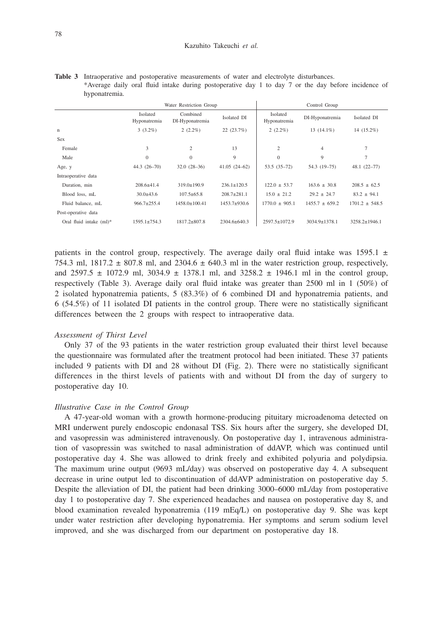**Table 3** Intraoperative and postoperative measurements of water and electrolyte disturbances. \*Average daily oral fluid intake during postoperative day 1 to day 7 or the day before incidence of hyponatremia.

|                            | Water Restriction Group  |                             |                    | Control Group            |                     |                     |
|----------------------------|--------------------------|-----------------------------|--------------------|--------------------------|---------------------|---------------------|
|                            | Isolated<br>Hyponatremia | Combined<br>DI-Hyponatremia | Isolated DI        | Isolated<br>Hyponatremia | DI-Hyponatremia     | Isolated DI         |
| $\mathbf n$                | $3(3.2\%)$               | $2(2.2\%)$                  | 22(23.7%)          | $2(2.2\%)$               | $13(14.1\%)$        | 14 (15.2%)          |
| Sex                        |                          |                             |                    |                          |                     |                     |
| Female                     | 3                        | 2                           | 13                 | $\overline{c}$           | $\overline{4}$      | 7                   |
| Male                       | $\theta$                 | $\mathbf{0}$                | 9                  | $\mathbf{0}$             | 9                   | 7                   |
| Age, y                     | $44.3(26-70)$            | $32.0(28-36)$               | $41.05(24-62)$     | 53.5 (35-72)             | 54.3 (19-75)        | $48.1(22 - 77)$     |
| Intraoperative data        |                          |                             |                    |                          |                     |                     |
| Duration, min              | $208.6 \pm 41.4$         | $319.0 \pm 190.9$           | $236.1 \pm 120.5$  | $122.0 \pm 53.7$         | $163.6 \pm 30.8$    | $208.5 \pm 62.5$    |
| Blood loss, mL             | $30.0 \pm 43.6$          | $107.5 \pm 65.8$            | $208.7 \pm 281.1$  | $15.0 \pm 21.2$          | $29.2 \pm 24.7$     | $83.2 \pm 94.1$     |
| Fluid balance, mL          | $966.7 \pm 255.4$        | $1458.0 \pm 100.41$         | $1453.7+930.6$     | $1770.0 \pm 905.1$       | $1455.7 \pm 659.2$  | $1701.2 \pm 548.5$  |
| Post-operative data        |                          |                             |                    |                          |                     |                     |
| Oral fluid intake $(m!)^*$ | $1595.1 \pm 754.3$       | 1817.2±807.8                | $2304.6 \pm 640.3$ | $2597.5 \pm 1072.9$      | $3034.9 \pm 1378.1$ | $3258.2 \pm 1946.1$ |

patients in the control group, respectively. The average daily oral fluid intake was 1595.1  $\pm$ 754.3 ml,  $1817.2 \pm 807.8$  ml, and  $2304.6 \pm 640.3$  ml in the water restriction group, respectively, and  $2597.5 \pm 1072.9$  ml,  $3034.9 \pm 1378.1$  ml, and  $3258.2 \pm 1946.1$  ml in the control group, respectively (Table 3). Average daily oral fluid intake was greater than 2500 ml in 1 (50%) of 2 isolated hyponatremia patients, 5 (83.3%) of 6 combined DI and hyponatremia patients, and 6 (54.5%) of 11 isolated DI patients in the control group. There were no statistically significant differences between the 2 groups with respect to intraoperative data.

# *Assessment of Thirst Level*

Only 37 of the 93 patients in the water restriction group evaluated their thirst level because the questionnaire was formulated after the treatment protocol had been initiated. These 37 patients included 9 patients with DI and 28 without DI (Fig. 2). There were no statistically significant differences in the thirst levels of patients with and without DI from the day of surgery to postoperative day 10.

# *Illustrative Case in the Control Group*

A 47-year-old woman with a growth hormone-producing pituitary microadenoma detected on MRI underwent purely endoscopic endonasal TSS. Six hours after the surgery, she developed DI, and vasopressin was administered intravenously. On postoperative day 1, intravenous administration of vasopressin was switched to nasal administration of ddAVP, which was continued until postoperative day 4. She was allowed to drink freely and exhibited polyuria and polydipsia. The maximum urine output (9693 mL/day) was observed on postoperative day 4. A subsequent decrease in urine output led to discontinuation of ddAVP administration on postoperative day 5. Despite the alleviation of DI, the patient had been drinking 3000–6000 mL/day from postoperative day 1 to postoperative day 7. She experienced headaches and nausea on postoperative day 8, and blood examination revealed hyponatremia (119 mEq/L) on postoperative day 9. She was kept under water restriction after developing hyponatremia. Her symptoms and serum sodium level improved, and she was discharged from our department on postoperative day 18.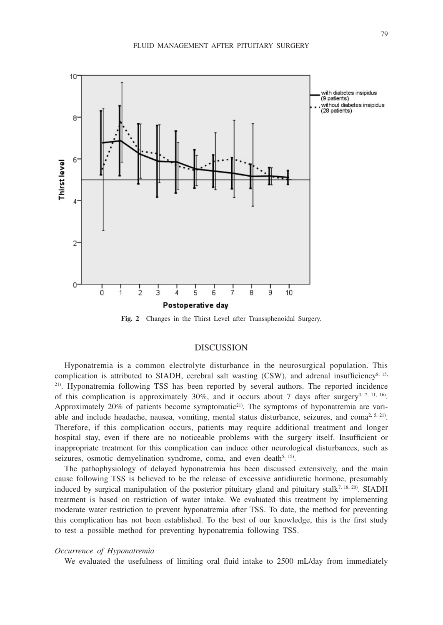

**Fig. 2** Changes in the Thirst Level after Transsphenoidal Surgery.

# **DISCUSSION**

Hyponatremia is a common electrolyte disturbance in the neurosurgical population. This complication is attributed to SIADH, cerebral salt wasting (CSW), and adrenal insufficiency<sup>8, 15,</sup> <sup>21)</sup>. Hyponatremia following TSS has been reported by several authors. The reported incidence of this complication is approximately 30%, and it occurs about 7 days after surgery<sup>3, 7, 11, 16</sup>. Approximately 20% of patients become symptomatic<sup>21)</sup>. The symptoms of hyponatremia are variable and include headache, nausea, vomiting, mental status disturbance, seizures, and coma<sup>2, 5, 21)</sup>. Therefore, if this complication occurs, patients may require additional treatment and longer hospital stay, even if there are no noticeable problems with the surgery itself. Insufficient or inappropriate treatment for this complication can induce other neurological disturbances, such as seizures, osmotic demyelination syndrome, coma, and even death<sup>5, 15)</sup>.

The pathophysiology of delayed hyponatremia has been discussed extensively, and the main cause following TSS is believed to be the release of excessive antidiuretic hormone, presumably induced by surgical manipulation of the posterior pituitary gland and pituitary stalk<sup>7, 18, 20)</sup>. SIADH treatment is based on restriction of water intake. We evaluated this treatment by implementing moderate water restriction to prevent hyponatremia after TSS. To date, the method for preventing this complication has not been established. To the best of our knowledge, this is the first study to test a possible method for preventing hyponatremia following TSS.

#### *Occurrence of Hyponatremia*

We evaluated the usefulness of limiting oral fluid intake to 2500 mL/day from immediately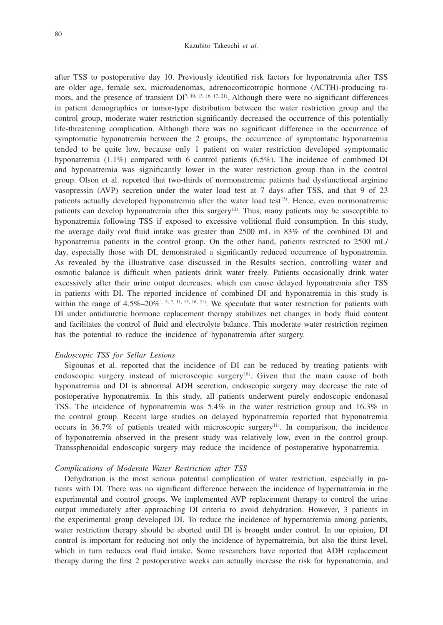#### Kazuhito Takeuchi *et al.*

after TSS to postoperative day 10. Previously identified risk factors for hyponatremia after TSS are older age, female sex, microadenomas, adrenocorticotropic hormone (ACTH)-producing tumors, and the presence of transient  $DI^{7, 10, 13, 16, 17, 21}$ . Although there were no significant differences in patient demographics or tumor-type distribution between the water restriction group and the control group, moderate water restriction significantly decreased the occurrence of this potentially life-threatening complication. Although there was no significant difference in the occurrence of symptomatic hyponatremia between the 2 groups, the occurrence of symptomatic hyponatremia tended to be quite low, because only 1 patient on water restriction developed symptomatic hyponatremia (1.1%) compared with 6 control patients (6.5%). The incidence of combined DI and hyponatremia was significantly lower in the water restriction group than in the control group. Olson et al. reported that two-thirds of normonatremic patients had dysfunctional arginine vasopressin (AVP) secretion under the water load test at 7 days after TSS, and that 9 of 23 patients actually developed hyponatremia after the water load test<sup>13</sup>). Hence, even normonatremic patients can develop hyponatremia after this surgery<sup>13</sup>. Thus, many patients may be susceptible to hyponatremia following TSS if exposed to excessive volitional fluid consumption. In this study, the average daily oral fluid intake was greater than 2500 mL in 83% of the combined DI and hyponatremia patients in the control group. On the other hand, patients restricted to 2500 mL/ day, especially those with DI, demonstrated a significantly reduced occurrence of hyponatremia. As revealed by the illustrative case discussed in the Results section, controlling water and osmotic balance is difficult when patients drink water freely. Patients occasionally drink water excessively after their urine output decreases, which can cause delayed hyponatremia after TSS in patients with DI. The reported incidence of combined DI and hyponatremia in this study is within the range of  $4.5\%$  –20%<sup>1, 3, 7, 11, 13, 16, 21)</sup>. We speculate that water restriction for patients with DI under antidiuretic hormone replacement therapy stabilizes net changes in body fluid content and facilitates the control of fluid and electrolyte balance. This moderate water restriction regimen has the potential to reduce the incidence of hyponatremia after surgery.

## *Endoscopic TSS for Sellar Lesions*

Sigounas et al. reported that the incidence of DI can be reduced by treating patients with endoscopic surgery instead of microscopic surgery<sup>18)</sup>. Given that the main cause of both hyponatremia and DI is abnormal ADH secretion, endoscopic surgery may decrease the rate of postoperative hyponatremia. In this study, all patients underwent purely endoscopic endonasal TSS. The incidence of hyponatremia was 5.4% in the water restriction group and 16.3% in the control group. Recent large studies on delayed hyponatremia reported that hyponatremia occurs in  $36.7\%$  of patients treated with microscopic surgery<sup>11)</sup>. In comparison, the incidence of hyponatremia observed in the present study was relatively low, even in the control group. Transsphenoidal endoscopic surgery may reduce the incidence of postoperative hyponatremia.

#### *Complications of Moderate Water Restriction after TSS*

Dehydration is the most serious potential complication of water restriction, especially in patients with DI. There was no significant difference between the incidence of hypernatremia in the experimental and control groups. We implemented AVP replacement therapy to control the urine output immediately after approaching DI criteria to avoid dehydration. However, 3 patients in the experimental group developed DI. To reduce the incidence of hypernatremia among patients, water restriction therapy should be aborted until DI is brought under control. In our opinion, DI control is important for reducing not only the incidence of hypernatremia, but also the thirst level, which in turn reduces oral fluid intake. Some researchers have reported that ADH replacement therapy during the first 2 postoperative weeks can actually increase the risk for hyponatremia, and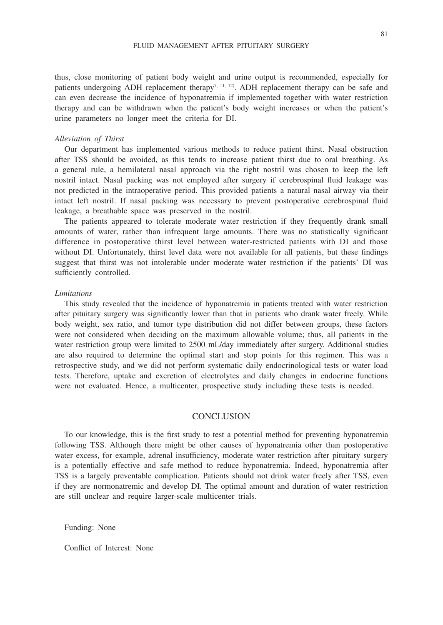thus, close monitoring of patient body weight and urine output is recommended, especially for patients undergoing ADH replacement therapy<sup>7, 11, 12)</sup>. ADH replacement therapy can be safe and can even decrease the incidence of hyponatremia if implemented together with water restriction therapy and can be withdrawn when the patient's body weight increases or when the patient's urine parameters no longer meet the criteria for DI.

#### *Alleviation of Thirst*

Our department has implemented various methods to reduce patient thirst. Nasal obstruction after TSS should be avoided, as this tends to increase patient thirst due to oral breathing. As a general rule, a hemilateral nasal approach via the right nostril was chosen to keep the left nostril intact. Nasal packing was not employed after surgery if cerebrospinal fluid leakage was not predicted in the intraoperative period. This provided patients a natural nasal airway via their intact left nostril. If nasal packing was necessary to prevent postoperative cerebrospinal fluid leakage, a breathable space was preserved in the nostril.

The patients appeared to tolerate moderate water restriction if they frequently drank small amounts of water, rather than infrequent large amounts. There was no statistically significant difference in postoperative thirst level between water-restricted patients with DI and those without DI. Unfortunately, thirst level data were not available for all patients, but these findings suggest that thirst was not intolerable under moderate water restriction if the patients' DI was sufficiently controlled.

#### *Limitations*

This study revealed that the incidence of hyponatremia in patients treated with water restriction after pituitary surgery was significantly lower than that in patients who drank water freely. While body weight, sex ratio, and tumor type distribution did not differ between groups, these factors were not considered when deciding on the maximum allowable volume; thus, all patients in the water restriction group were limited to 2500 mL/day immediately after surgery. Additional studies are also required to determine the optimal start and stop points for this regimen. This was a retrospective study, and we did not perform systematic daily endocrinological tests or water load tests. Therefore, uptake and excretion of electrolytes and daily changes in endocrine functions were not evaluated. Hence, a multicenter, prospective study including these tests is needed.

#### **CONCLUSION**

To our knowledge, this is the first study to test a potential method for preventing hyponatremia following TSS. Although there might be other causes of hyponatremia other than postoperative water excess, for example, adrenal insufficiency, moderate water restriction after pituitary surgery is a potentially effective and safe method to reduce hyponatremia. Indeed, hyponatremia after TSS is a largely preventable complication. Patients should not drink water freely after TSS, even if they are normonatremic and develop DI. The optimal amount and duration of water restriction are still unclear and require larger-scale multicenter trials.

Funding: None

Conflict of Interest: None